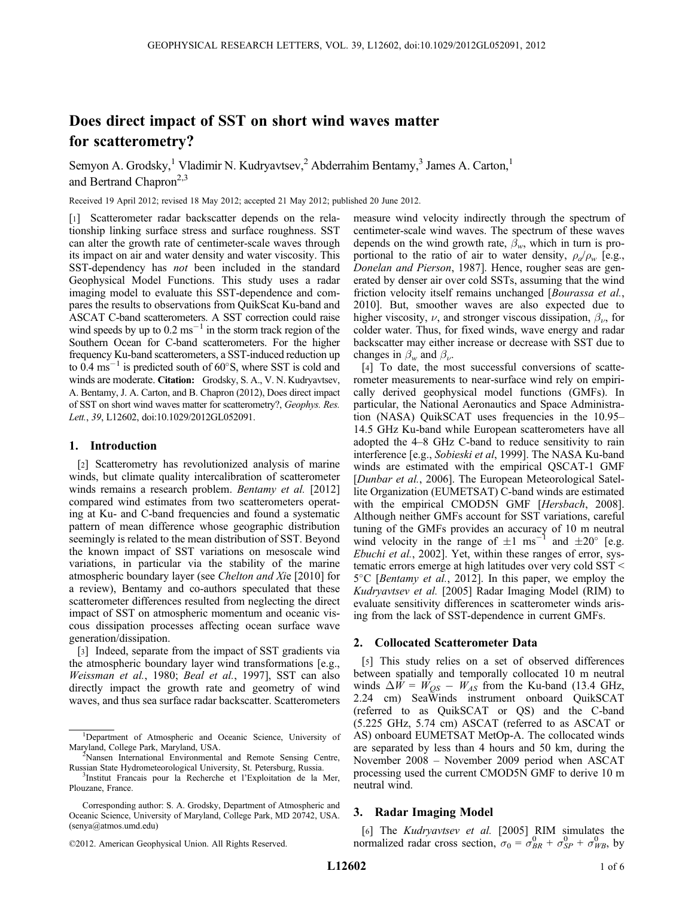# Does direct impact of SST on short wind waves matter for scatterometry?

Semyon A. Grodsky,<sup>1</sup> Vladimir N. Kudryavtsev,<sup>2</sup> Abderrahim Bentamy,<sup>3</sup> James A. Carton,<sup>1</sup> and Bertrand Chapron<sup>2,3</sup>

Received 19 April 2012; revised 18 May 2012; accepted 21 May 2012; published 20 June 2012.

[1] Scatterometer radar backscatter depends on the relationship linking surface stress and surface roughness. SST can alter the growth rate of centimeter-scale waves through its impact on air and water density and water viscosity. This SST-dependency has *not* been included in the standard Geophysical Model Functions. This study uses a radar imaging model to evaluate this SST-dependence and compares the results to observations from QuikScat Ku-band and ASCAT C-band scatterometers. A SST correction could raise wind speeds by up to  $0.2 \text{ ms}^{-1}$  in the storm track region of the Southern Ocean for C-band scatterometers. For the higher frequency Ku-band scatterometers, a SST-induced reduction up to 0.4  $\text{ms}^{-1}$  is predicted south of 60 $\degree$ S, where SST is cold and winds are moderate. Citation: Grodsky, S. A., V. N. Kudryavtsev, A. Bentamy, J. A. Carton, and B. Chapron (2012), Does direct impact of SST on short wind waves matter for scatterometry?, Geophys. Res. Lett., 39, L12602, doi:10.1029/2012GL052091.

## 1. Introduction

[2] Scatterometry has revolutionized analysis of marine winds, but climate quality intercalibration of scatterometer winds remains a research problem. *Bentamy et al.* [2012] compared wind estimates from two scatterometers operating at Ku- and C-band frequencies and found a systematic pattern of mean difference whose geographic distribution seemingly is related to the mean distribution of SST. Beyond the known impact of SST variations on mesoscale wind variations, in particular via the stability of the marine atmospheric boundary layer (see Chelton and Xie [2010] for a review), Bentamy and co-authors speculated that these scatterometer differences resulted from neglecting the direct impact of SST on atmospheric momentum and oceanic viscous dissipation processes affecting ocean surface wave generation/dissipation.

[3] Indeed, separate from the impact of SST gradients via the atmospheric boundary layer wind transformations [e.g., Weissman et al., 1980; Beal et al., 1997], SST can also directly impact the growth rate and geometry of wind waves, and thus sea surface radar backscatter. Scatterometers

measure wind velocity indirectly through the spectrum of centimeter-scale wind waves. The spectrum of these waves depends on the wind growth rate,  $\beta_w$ , which in turn is proportional to the ratio of air to water density,  $\rho_a/\rho_w$  [e.g., Donelan and Pierson, 1987]. Hence, rougher seas are generated by denser air over cold SSTs, assuming that the wind friction velocity itself remains unchanged [*Bourassa et al.*, 2010]. But, smoother waves are also expected due to higher viscosity,  $\nu$ , and stronger viscous dissipation,  $\beta_{\nu}$ , for colder water. Thus, for fixed winds, wave energy and radar backscatter may either increase or decrease with SST due to changes in  $\beta_w$  and  $\beta_v$ .

[4] To date, the most successful conversions of scatterometer measurements to near-surface wind rely on empirically derived geophysical model functions (GMFs). In particular, the National Aeronautics and Space Administration (NASA) QuikSCAT uses frequencies in the 10.95– 14.5 GHz Ku-band while European scatterometers have all adopted the 4–8 GHz C-band to reduce sensitivity to rain interference [e.g., Sobieski et al, 1999]. The NASA Ku-band winds are estimated with the empirical QSCAT-1 GMF [Dunbar et al., 2006]. The European Meteorological Satellite Organization (EUMETSAT) C-band winds are estimated with the empirical CMOD5N GMF [Hersbach, 2008]. Although neither GMFs account for SST variations, careful tuning of the GMFs provides an accuracy of 10 m neutral wind velocity in the range of  $\pm 1$  ms<sup>-1</sup> and  $\pm 20^{\circ}$  [e.g. Ebuchi et al., 2002]. Yet, within these ranges of error, systematic errors emerge at high latitudes over very cold SST <  $5^{\circ}$ C [*Bentamy et al.*, 2012]. In this paper, we employ the Kudryavtsev et al. [2005] Radar Imaging Model (RIM) to evaluate sensitivity differences in scatterometer winds arising from the lack of SST-dependence in current GMFs.

## 2. Collocated Scatterometer Data

[5] This study relies on a set of observed differences between spatially and temporally collocated 10 m neutral winds  $\Delta W = W_{OS} - W_{AS}$  from the Ku-band (13.4 GHz, 2.24 cm) SeaWinds instrument onboard QuikSCAT (referred to as QuikSCAT or QS) and the C-band (5.225 GHz, 5.74 cm) ASCAT (referred to as ASCAT or AS) onboard EUMETSAT MetOp-A. The collocated winds are separated by less than 4 hours and 50 km, during the November 2008 – November 2009 period when ASCAT processing used the current CMOD5N GMF to derive 10 m neutral wind.

# 3. Radar Imaging Model

[6] The Kudryavtsev et al. [2005] RIM simulates the normalized radar cross section,  $\sigma_0 = \sigma_{BR}^0 + \sigma_{SP}^0 + \sigma_{WB}^0$ , by

<sup>&</sup>lt;sup>1</sup>Department of Atmospheric and Oceanic Science, University of Maryland, College Park, Maryland, USA. <sup>2</sup>

<sup>&</sup>lt;sup>2</sup>Nansen International Environmental and Remote Sensing Centre, Russian State Hydrometeorological University, St. Petersburg, Russia. <sup>3</sup>

<sup>&</sup>lt;sup>3</sup>Institut Francais pour la Recherche et l'Exploitation de la Mer, Plouzane, France.

Corresponding author: S. A. Grodsky, Department of Atmospheric and Oceanic Science, University of Maryland, College Park, MD 20742, USA. (senya@atmos.umd.edu)

<sup>©2012.</sup> American Geophysical Union. All Rights Reserved.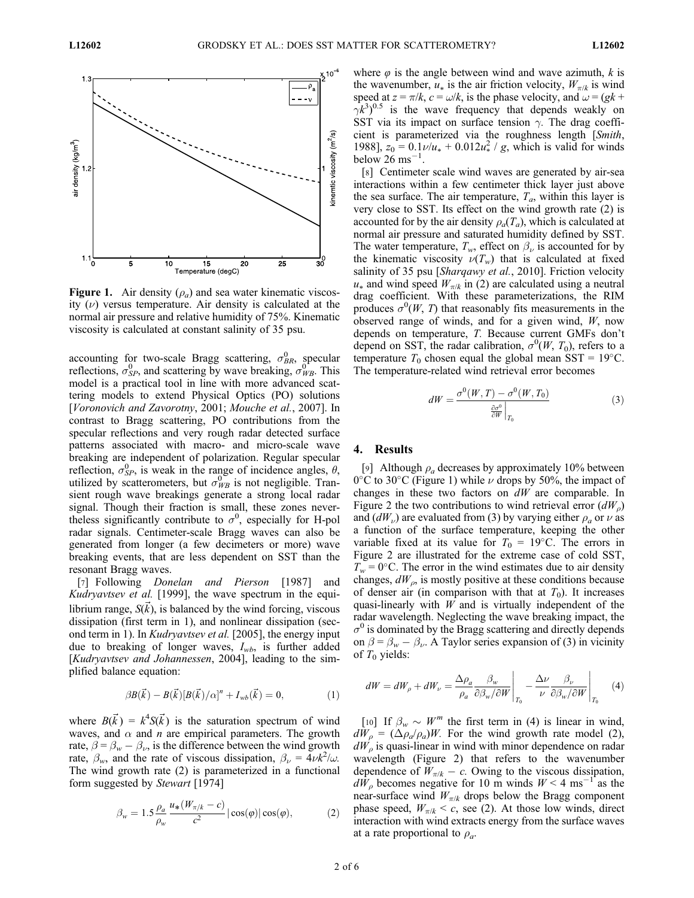

**Figure 1.** Air density  $(\rho_a)$  and sea water kinematic viscosity  $(v)$  versus temperature. Air density is calculated at the normal air pressure and relative humidity of 75%. Kinematic viscosity is calculated at constant salinity of 35 psu.

accounting for two-scale Bragg scattering,  $\sigma_{BR}^0$ , specular reflections  $\sigma_{BR}^0$  and scattering by wave breaking  $\sigma_{BR}^0$ . This reflections,  $\sigma_{SP}^0$ , and scattering by wave breaking,  $\sigma_{WB}^0$ . This model is a practical tool in line with more advanced scatmodel is a practical tool in line with more advanced scattering models to extend Physical Optics (PO) solutions [Voronovich and Zavorotny, 2001; Mouche et al., 2007]. In contrast to Bragg scattering, PO contributions from the specular reflections and very rough radar detected surface patterns associated with macro- and micro-scale wave breaking are independent of polarization. Regular specular reflection,  $\sigma_{SP}^0$ , is weak in the range of incidence angles,  $\theta$ , utilized by scatterometers, but  $\sigma_{mn}^0$  is not negligible. Tranutilized by scatterometers, but  $\sigma_{WB}^{0}$  is not negligible. Tran-<br>sient rough wave breakings generate a strong local radar sient rough wave breakings generate a strong local radar signal. Though their fraction is small, these zones nevertheless significantly contribute to  $\sigma^0$ , especially for H-pol<br>radar signals. Centimeter-scale Bragg waves can also be radar signals. Centimeter-scale Bragg waves can also be generated from longer (a few decimeters or more) wave breaking events, that are less dependent on SST than the resonant Bragg waves.

[7] Following *Donelan and Pierson* [1987] and Kudryavtsev et al. [1999], the wave spectrum in the equilibrium range,  $S(\vec{k})$ , is balanced by the wind forcing, viscous dissipation (first term in 1), and nonlinear dissipation (second term in 1). In *Kudryavtsev et al.* [2005], the energy input due to breaking of longer waves,  $I_{wb}$ , is further added [Kudryavtsev and Johannessen, 2004], leading to the simplified balance equation:

$$
\beta B(\vec{k}) - B(\vec{k})[B(\vec{k})/\alpha]^n + I_{wb}(\vec{k}) = 0, \qquad (1)
$$

where  $B(\vec{k}) = k^4 S(\vec{k})$  is the saturation spectrum of wind waves, and  $\alpha$  and *n* are empirical parameters. The growth rate,  $\beta = \beta_w - \beta_v$ , is the difference between the wind growth rate,  $\beta_w$ , and the rate of viscous dissipation,  $\beta_v = 4\nu k^2/\omega$ .<br>The wind growth rate (2) is parameterized in a functional The wind growth rate (2) is parameterized in a functional form suggested by Stewart [1974]

$$
\beta_w = 1.5 \frac{\rho_a}{\rho_w} \frac{u_*(W_{\pi/k} - c)}{c^2} |\cos(\varphi)| \cos(\varphi), \tag{2}
$$

where  $\varphi$  is the angle between wind and wave azimuth, k is the wavenumber,  $u_*$  is the air friction velocity,  $W_{\pi/k}$  is wind speed at  $z = \pi/k$ ,  $c = \omega/k$ , is the phase velocity, and  $\omega = (gk +$  $(\gamma k^3)^{0.5}$  is the wave frequency that depends weakly on SST via its impact on surface tension  $\gamma$ . The drag coeffi-SST via its impact on surface tension  $\gamma$ . The drag coefficient is parameterized via the roughness length [Smith, 1988],  $z_0 = 0.1 \nu / u_* + 0.012 u_*^2 / g$ , which is valid for winds<br>below 26 ms<sup>-1</sup> below  $26 \text{ ms}^{-1}$ .

[8] Centimeter scale wind waves are generated by air-sea interactions within a few centimeter thick layer just above the sea surface. The air temperature,  $T_a$ , within this layer is very close to SST. Its effect on the wind growth rate (2) is accounted for by the air density  $\rho_a(T_a)$ , which is calculated at normal air pressure and saturated humidity defined by SST. The water temperature,  $T_w$ , effect on  $\beta_\nu$  is accounted for by the kinematic viscosity  $\nu(T_w)$  that is calculated at fixed salinity of 35 psu [*Sharqawy et al.*, 2010]. Friction velocity  $u_*$  and wind speed  $W_{\pi/k}$  in (2) are calculated using a neutral drag coefficient. With these parameterizations, the RIM produces  $\sigma^0(W, T)$  that reasonably fits measurements in the observed range of winds and for a given wind W now observed range of winds, and for a given wind,  $W$ , now depends on temperature, T. Because current GMFs don't depend on SST, the radar calibration,  $\sigma^0(W, T_0)$ , refers to a temperature  $T_0$  chosen equal the global mean SST = 19°C. temperature  $T_0$  chosen equal the global mean SST = 19 $\degree$ C. The temperature-related wind retrieval error becomes

$$
dW = \frac{\sigma^0(W, T) - \sigma^0(W, T_0)}{\frac{\partial \sigma^0}{\partial W}\Big|_{T_0}}\tag{3}
$$

# 4. Results

[9] Although  $\rho_a$  decreases by approximately 10% between 0°C to 30°C (Figure 1) while  $\nu$  drops by 50%, the impact of changes in these two factors on  $dW$  are comparable. In Figure 2 the two contributions to wind retrieval error  $(dW_0)$ and  $(dW_\nu)$  are evaluated from (3) by varying either  $\rho_a$  or  $\nu$  as a function of the surface temperature, keeping the other variable fixed at its value for  $T_0 = 19$ °C. The errors in Figure 2 are illustrated for the extreme case of cold SST,  $T_w = 0$ °C. The error in the wind estimates due to air density changes,  $dW_{\rho}$ , is mostly positive at these conditions because of denser air (in comparison with that at  $T_0$ ). It increases quasi-linearly with  $W$  and is virtually independent of the radar wavelength. Neglecting the wave breaking impact, the  $\sigma^0$  is dominated by the Bragg scattering and directly depends on  $\beta = \beta_w - \beta_v$ . A Taylor series expansion of (3) in vicinity of  $T_0$  yields:

$$
dW = dW_{\rho} + dW_{\nu} = \frac{\Delta \rho_a}{\rho_a} \frac{\beta_w}{\partial \beta_w / \partial W} \bigg|_{T_0} - \frac{\Delta \nu}{\nu} \frac{\beta_{\nu}}{\partial \beta_w / \partial W} \bigg|_{T_0} \tag{4}
$$

[10] If  $\beta_w \sim W^m$  the first term in (4) is linear in wind,  $dW_{\rho} = (\Delta \rho_a/\rho_a)W$ . For the wind growth rate model (2),  $dW_{\rho}$  is quasi-linear in wind with minor dependence on radar wavelength (Figure 2) that refers to the wavenumber dependence of  $W_{\pi/k} - c$ . Owing to the viscous dissipation,  $dW<sub>o</sub>$  becomes negative for 10 m winds  $W < 4$  ms<sup>-1</sup> as the near-surface wind  $W_{\pi/k}$  drops below the Bragg component phase speed,  $W_{\pi/k} < c$ , see (2). At those low winds, direct interaction with wind extracts energy from the surface waves at a rate proportional to  $\rho_a$ .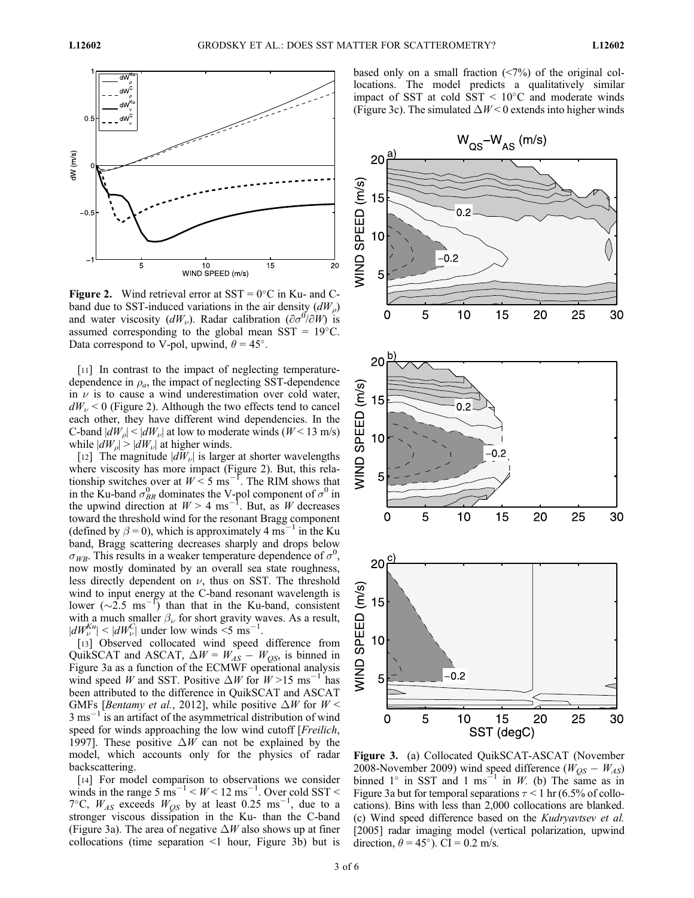

**Figure 2.** Wind retrieval error at  $SST = 0^{\circ}C$  in Ku- and Cband due to SST-induced variations in the air density  $(dW_0)$ and water viscosity  $(dW_{\nu})$ . Radar calibration  $(\partial \sigma^{\vec{0}}/\partial \vec{W})$  is assumed corresponding to the global mean SST = 19°C. assumed corresponding to the global mean  $SST = 19^{\circ}C$ . Data correspond to V-pol, upwind,  $\theta = 45^{\circ}$ .

[11] In contrast to the impact of neglecting temperaturedependence in  $\rho_a$ , the impact of neglecting SST-dependence in  $\nu$  is to cause a wind underestimation over cold water,  $dW<sub>u</sub> < 0$  (Figure 2). Although the two effects tend to cancel each other, they have different wind dependencies. In the C-band  $|dW_{\rho}|$  <  $|dW_{\nu}|$  at low to moderate winds (W < 13 m/s) while  $|dW_{o}| > |dW_{v}|$  at higher winds.

[12] The magnitude  $|dW_v|$  is larger at shorter wavelengths where viscosity has more impact (Figure 2). But, this relationship switches over at  $W < 5$  ms<sup>-1</sup>. The RIM shows that in the Ku-band  $\sigma_{BR}^0$  dominates the V-pol component of  $\sigma^0$  in the upwind direction at  $W > 4$  ms<sup>-1</sup>. But, as W decreases toward the threshold wind for the resonant Bragg component (defined by  $\beta = 0$ ), which is approximately 4 ms<sup>-1</sup> in the Ku band, Bragg scattering decreases sharply and drops below  $\sigma_{WB}$ . This results in a weaker temperature dependence of  $\sigma^0$ , now mostly dominated by an overall sea state roughness. now mostly dominated by an overall sea state roughness, less directly dependent on  $\nu$ , thus on SST. The threshold wind to input energy at the C-band resonant wavelength is lower  $(\sim 2.5 \text{ ms}^{-1})$  than that in the Ku-band, consistent with a much smaller  $\beta_{\nu}$  for short gravity waves. As a result,  $|dW_{\nu}^{Ku}| \le |dW_{\nu}^{C}|$  under low winds <5 ms<sup>-1</sup>.<br>[12] Observed, collocated, wind, speed

[13] Observed collocated wind speed difference from QuikSCAT and ASCAT,  $\Delta W = W_{AS} - W_{OS}$ , is binned in Figure 3a as a function of the ECMWF operational analysis wind speed W and SST. Positive  $\Delta W$  for  $W > 15$  ms<sup>-1</sup> has been attributed to the difference in QuikSCAT and ASCAT GMFs [Bentamy et al., 2012], while positive  $\Delta W$  for  $W$  <  $3 \text{ ms}^{-1}$  is an artifact of the asymmetrical distribution of wind speed for winds approaching the low wind cutoff [*Freilich*, 1997]. These positive  $\Delta W$  can not be explained by the model, which accounts only for the physics of radar backscattering.

[14] For model comparison to observations we consider winds in the range 5  $\text{m}^{-1}$  <  $W$  < 12  $\text{m}^{-1}$ . Over cold SST < 7°C,  $W_{AS}$  exceeds  $W_{QS}$  by at least 0.25 ms<sup>-1</sup>, due to a stronger viscous dissipation in the Ku- than the C-band (Figure 3a). The area of negative  $\Delta W$  also shows up at finer collocations (time separation <1 hour, Figure 3b) but is

based only on a small fraction (<7%) of the original collocations. The model predicts a qualitatively similar impact of SST at cold  $SST < 10^{\circ}$ C and moderate winds (Figure 3c). The simulated  $\Delta W < 0$  extends into higher winds



Figure 3. (a) Collocated QuikSCAT-ASCAT (November 2008-November 2009) wind speed difference ( $W_{OS} - W_{AS}$ ) binned  $1^\circ$  in SST and 1 ms<sup>-1</sup> in W. (b) The same as in Figure 3a but for temporal separations  $\tau$  < 1 hr (6.5% of collocations). Bins with less than 2,000 collocations are blanked. (c) Wind speed difference based on the Kudryavtsev et al. [2005] radar imaging model (vertical polarization, upwind direction,  $\theta = 45^{\circ}$ ). CI = 0.2 m/s.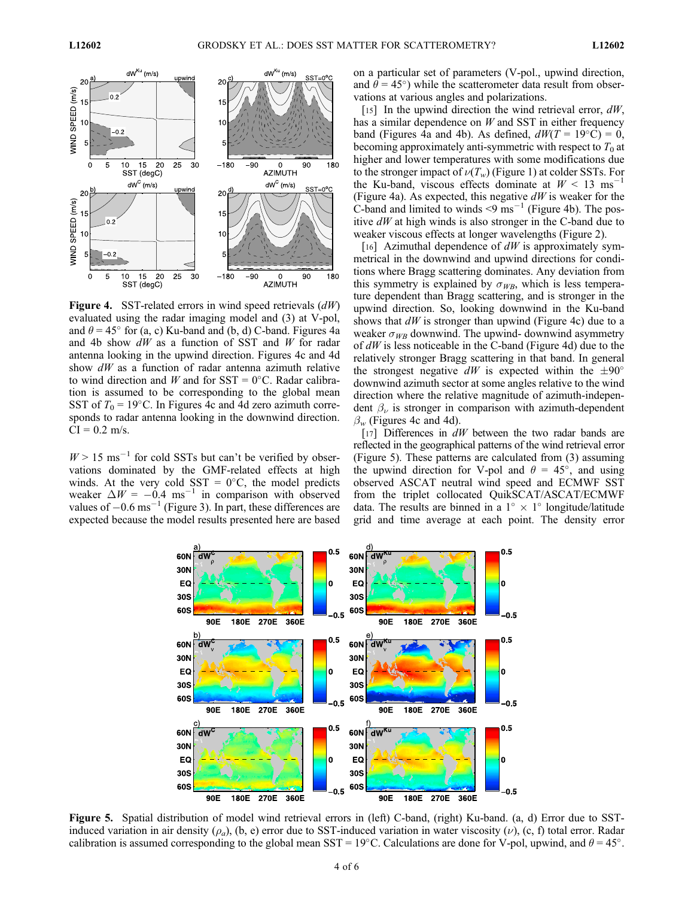

Figure 4. SST-related errors in wind speed retrievals  $(dW)$ evaluated using the radar imaging model and (3) at V-pol, and  $\theta = 45^{\circ}$  for (a, c) Ku-band and (b, d) C-band. Figures 4a and 4b show  $dW$  as a function of SST and W for radar antenna looking in the upwind direction. Figures 4c and 4d show  $dW$  as a function of radar antenna azimuth relative to wind direction and W and for  $SST = 0^{\circ}C$ . Radar calibration is assumed to be corresponding to the global mean SST of  $T_0 = 19$ °C. In Figures 4c and 4d zero azimuth corresponds to radar antenna looking in the downwind direction.  $CI = 0.2$  m/s.

 $W > 15$  ms<sup>-1</sup> for cold SSTs but can't be verified by observations dominated by the GMF-related effects at high winds. At the very cold SST =  $0^{\circ}$ C, the model predicts weaker  $\Delta W = -0.4$  ms<sup>-1</sup> in comparison with observed values of  $-0.6 \text{ ms}^{-1}$  (Figure 3). In part, these differences are expected because the model results presented here are based on a particular set of parameters (V-pol., upwind direction, and  $\theta = 45^{\circ}$ ) while the scatterometer data result from observations at various angles and polarizations.

[15] In the upwind direction the wind retrieval error,  $dW$ , has a similar dependence on  $W$  and SST in either frequency band (Figures 4a and 4b). As defined,  $dW(T = 19^{\circ}C) = 0$ , becoming approximately anti-symmetric with respect to  $T_0$  at higher and lower temperatures with some modifications due to the stronger impact of  $\nu(T_w)$  (Figure 1) at colder SSTs. For the Ku-band, viscous effects dominate at  $W < 13 \text{ ms}^{-1}$ (Figure 4a). As expected, this negative  $dW$  is weaker for the C-band and limited to winds  $\leq$ 9 ms<sup>-1</sup> (Figure 4b). The positive  $dW$  at high winds is also stronger in the C-band due to weaker viscous effects at longer wavelengths (Figure 2).

[16] Azimuthal dependence of  $dW$  is approximately symmetrical in the downwind and upwind directions for conditions where Bragg scattering dominates. Any deviation from this symmetry is explained by  $\sigma_{WR}$ , which is less temperature dependent than Bragg scattering, and is stronger in the upwind direction. So, looking downwind in the Ku-band shows that  $dW$  is stronger than upwind (Figure 4c) due to a weaker  $\sigma_{WB}$  downwind. The upwind- downwind asymmetry of  $dW$  is less noticeable in the C-band (Figure 4d) due to the relatively stronger Bragg scattering in that band. In general the strongest negative dW is expected within the  $\pm 90^\circ$ downwind azimuth sector at some angles relative to the wind direction where the relative magnitude of azimuth-independent  $\beta_{\nu}$  is stronger in comparison with azimuth-dependent  $\beta_w$  (Figures 4c and 4d).

[17] Differences in  $dW$  between the two radar bands are reflected in the geographical patterns of the wind retrieval error (Figure 5). These patterns are calculated from (3) assuming the upwind direction for V-pol and  $\theta = 45^{\circ}$ , and using observed ASCAT neutral wind speed and ECMWF SST from the triplet collocated QuikSCAT/ASCAT/ECMWF data. The results are binned in a  $1^{\circ} \times 1^{\circ}$  longitude/latitude grid and time average at each point. The density error



Figure 5. Spatial distribution of model wind retrieval errors in (left) C-band, (right) Ku-band. (a, d) Error due to SSTinduced variation in air density ( $\rho_a$ ), (b, e) error due to SST-induced variation in water viscosity ( $\nu$ ), (c, f) total error. Radar calibration is assumed corresponding to the global mean SST = 19°C. Calculations are done for V-pol, upwind, and  $\theta = 45^{\circ}$ .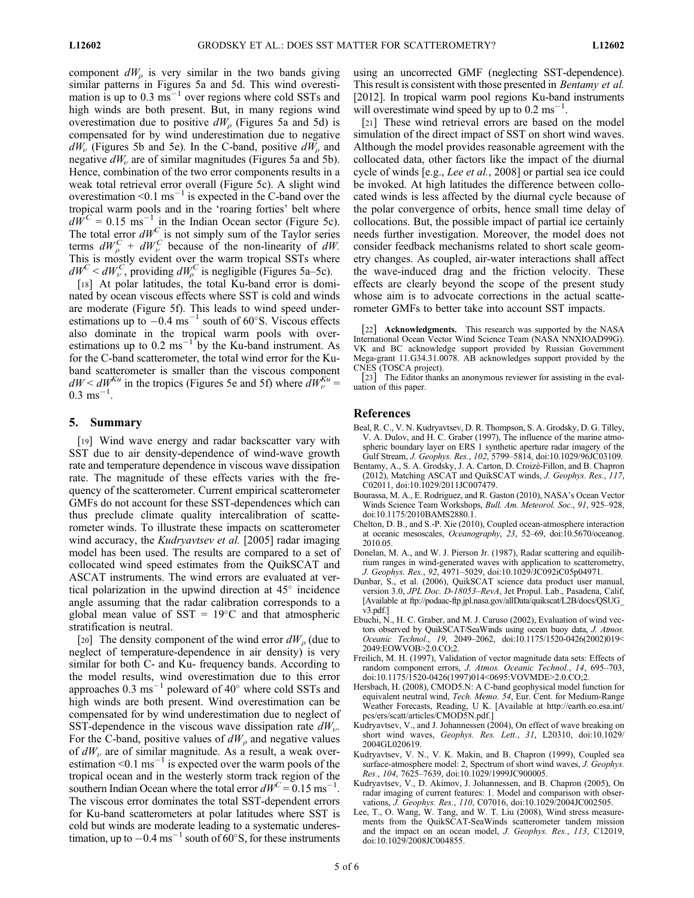component  $dW_{\rho}$  is very similar in the two bands giving similar patterns in Figures 5a and 5d. This wind overestimation is up to  $0.3 \text{ ms}^{-1}$  over regions where cold SSTs and high winds are both present. But, in many regions wind overestimation due to positive  $dW<sub>o</sub>$  (Figures 5a and 5d) is compensated for by wind underestimation due to negative  $dW_{\nu}$  (Figures 5b and 5e). In the C-band, positive  $dW_{\nu}$  and negative  $dW_{\nu}$  are of similar magnitudes (Figures 5a and 5b). Hence, combination of the two error components results in a weak total retrieval error overall (Figure 5c). A slight wind overestimation <0.1 ms<sup>-1</sup> is expected in the C-band over the tropical warm pools and in the 'roaring forties' belt where  $d\vec{W}^C = 0.15 \text{ ms}^{-1}$  in the Indian Ocean sector (Figure 5c). The total error  $dW^C$  is not simply sum of the Taylor series terms  $dW_p^C + dW_p^C$  because of the non-linearity of dW.<br>This is mostly evident over the warm tropical SSTs where This is mostly evident over the warm tropical SSTs where  $dW^C < dW^C$ , providing  $dW^C$  is negligible (Figures 5a–5c).<br>
[18] At polar latitudes the total Ku-band error is dom

[18] At polar latitudes, the total Ku-band error is dominated by ocean viscous effects where SST is cold and winds are moderate (Figure 5f). This leads to wind speed underestimations up to  $-0.4 \text{ ms}^{-1}$  south of 60°S. Viscous effects also dominate in the tropical warm pools with overestimations up to  $0.2 \text{ ms}^{-1}$  by the Ku-band instrument. As for the C-band scatterometer, the total wind error for the Kuband scatterometer is smaller than the viscous component  $dW < dW^{Ku}$  in the tropics (Figures 5e and 5f) where  $dW^{Ku}_{\nu} = 0.3 \text{ ms}^{-1}$  $0.3 \text{ ms}^{-1}$ .

# 5. Summary

[19] Wind wave energy and radar backscatter vary with SST due to air density-dependence of wind-wave growth rate and temperature dependence in viscous wave dissipation rate. The magnitude of these effects varies with the frequency of the scatterometer. Current empirical scatterometer GMFs do not account for these SST-dependences which can thus preclude climate quality intercalibration of scatterometer winds. To illustrate these impacts on scatterometer wind accuracy, the *Kudryavtsev et al.* [2005] radar imaging model has been used. The results are compared to a set of collocated wind speed estimates from the QuikSCAT and ASCAT instruments. The wind errors are evaluated at vertical polarization in the upwind direction at  $45^{\circ}$  incidence angle assuming that the radar calibration corresponds to a global mean value of  $SST = 19^{\circ}C$  and that atmospheric stratification is neutral.

[20] The density component of the wind error  $dW_0$  (due to neglect of temperature-dependence in air density) is very similar for both C- and Ku- frequency bands. According to the model results, wind overestimation due to this error approaches 0.3 ms<sup> $-1$ </sup> poleward of 40 $^{\circ}$  where cold SSTs and high winds are both present. Wind overestimation can be compensated for by wind underestimation due to neglect of SST-dependence in the viscous wave dissipation rate  $dW_{\nu}$ . For the C-band, positive values of  $dW<sub>\rho</sub>$  and negative values of  $dW_{\nu}$  are of similar magnitude. As a result, a weak overestimation  $\leq 0.1$  ms<sup>-1</sup> is expected over the warm pools of the tropical ocean and in the westerly storm track region of the southern Indian Ocean where the total error  $dW^C = 0.15$  ms<sup>-1</sup>. The viscous error dominates the total SST-dependent errors for Ku-band scatterometers at polar latitudes where SST is cold but winds are moderate leading to a systematic underestimation, up to  $-0.4$  ms<sup>-1</sup> south of  $60^{\circ}$ S, for these instruments

using an uncorrected GMF (neglecting SST-dependence). This result is consistent with those presented in Bentamy et al. [2012]. In tropical warm pool regions Ku-band instruments will overestimate wind speed by up to  $0.2 \text{ ms}^{-1}$ .

[21] These wind retrieval errors are based on the model simulation of the direct impact of SST on short wind waves. Although the model provides reasonable agreement with the collocated data, other factors like the impact of the diurnal cycle of winds [e.g., Lee et al., 2008] or partial sea ice could be invoked. At high latitudes the difference between collocated winds is less affected by the diurnal cycle because of the polar convergence of orbits, hence small time delay of collocations. But, the possible impact of partial ice certainly needs further investigation. Moreover, the model does not consider feedback mechanisms related to short scale geometry changes. As coupled, air-water interactions shall affect the wave-induced drag and the friction velocity. These effects are clearly beyond the scope of the present study whose aim is to advocate corrections in the actual scatterometer GMFs to better take into account SST impacts.

[22] **Acknowledgments.** This research was supported by the NASA International Ocean Vector Wind Science Team (NASA NNXIOAD99G). VK and BC acknowledge support provided by Russian Government Mega-grant 11.G34.31.0078. AB acknowledges support provided by the CNES (TOSCA project).

[23] The Editor thanks an anonymous reviewer for assisting in the evaluation of this paper.

#### References

- Beal, R. C., V. N. Kudryavtsev, D. R. Thompson, S. A. Grodsky, D. G. Tilley, V. A. Dulov, and H. C. Graber (1997), The influence of the marine atmospheric boundary layer on ERS 1 synthetic aperture radar imagery of the Gulf Stream, J. Geophys. Res., 102, 5799–5814, doi:10.1029/96JC03109.
- Bentamy, A., S. A. Grodsky, J. A. Carton, D. Croizé-Fillon, and B. Chapron (2012), Matching ASCAT and QuikSCAT winds, J. Geophys. Res., 117, C02011, doi:10.1029/2011JC007479.
- Bourassa, M. A., E. Rodriguez, and R. Gaston (2010), NASA's Ocean Vector Winds Science Team Workshops, Bull. Am. Meteorol. Soc., 91, 925–928, doi:10.1175/2010BAMS2880.1.
- Chelton, D. B., and S.-P. Xie (2010), Coupled ocean-atmosphere interaction at oceanic mesoscales, Oceanography, 23, 52–69, doi:10.5670/oceanog. 2010.05.
- Donelan, M. A., and W. J. Pierson Jr. (1987), Radar scattering and equilibrium ranges in wind-generated waves with application to scatterometry, J. Geophys. Res., 92, 4971–5029, doi:10.1029/JC092iC05p04971.
- Dunbar, S., et al. (2006), QuikSCAT science data product user manual, version 3.0, JPL Doc. D-18053-RevA, Jet Propul. Lab., Pasadena, Calif, [Available at ftp://podaac-ftp.jpl.nasa.gov/allData/quikscat/L2B/docs/QSUG\_ v3.pdf.]
- Ebuchi, N., H. C. Graber, and M. J. Caruso (2002), Evaluation of wind vectors observed by QuikSCAT/SeaWinds using ocean buoy data, J. Atmos. Oceanic Technol., 19, 2049–2062, doi:10.1175/1520-0426(2002)019< 2049:EOWVOB>2.0.CO;2.
- Freilich, M. H. (1997), Validation of vector magnitude data sets: Effects of random component errors, J. Atmos. Oceanic Technol., 14, 695–703, doi:10.1175/1520-0426(1997)014<0695:VOVMDE>2.0.CO;2.
- Hersbach, H. (2008), CMOD5.N: A C-band geophysical model function for equivalent neutral wind, Tech. Memo. 54, Eur. Cent. for Medium-Range Weather Forecasts, Reading, U K. [Available at http://earth.eo.esa.int/ pcs/ers/scatt/articles/CMOD5N.pdf.]
- Kudryavtsev, V., and J. Johannessen (2004), On effect of wave breaking on short wind waves, Geophys. Res. Lett., 31, L20310, doi:10.1029/ 2004GL020619.
- Kudryavtsev, V. N., V. K. Makin, and B. Chapron (1999), Coupled sea surface-atmosphere model: 2, Spectrum of short wind waves, *J. Geophys.* Res., 104, 7625–7639, doi:10.1029/1999JC900005.
- Kudryavtsev, V., D. Akimov, J. Johannessen, and B. Chapron (2005), On radar imaging of current features: 1. Model and comparison with observations, J. Geophys. Res., 110, C07016, doi:10.1029/2004JC002505.
- Lee, T., O. Wang, W. Tang, and W. T. Liu (2008), Wind stress measurements from the QuikSCAT-SeaWinds scatterometer tandem mission and the impact on an ocean model, J. Geophys. Res., 113, C12019, doi:10.1029/2008JC004855.